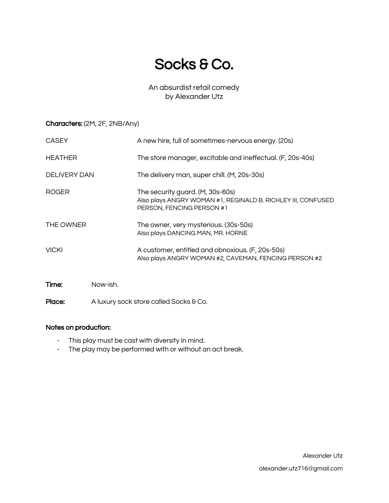# Socks & Co.

An absurdist retail comedy by Alexander Utz

### Characters: (2M, 2F, 2NB/Any)

| <b>CASEY</b>        | A new hire, full of sometimes-nervous energy. (20s)                                                                           |
|---------------------|-------------------------------------------------------------------------------------------------------------------------------|
| <b>HEATHER</b>      | The store manager, excitable and ineffectual. (F, 20s-40s)                                                                    |
| <b>DELIVERY DAN</b> | The delivery man, super chill. (M, 20s-30s)                                                                                   |
| <b>ROGER</b>        | The security guard. (M, 30s-60s)<br>Also plays ANGRY WOMAN #1, REGINALD B. RICHLEY III, CONFUSED<br>PERSON, FENCING PERSON #1 |
| THE OWNER           | The owner, very mysterious. (30s-50s)<br>Also plays DANCING MAN, MR. HORNE                                                    |
| <b>VICKI</b>        | A customer, entitled and obnoxious. (F, 20s-50s)<br>Also plays ANGRY WOMAN #2, CAVEMAN, FENCING PERSON #2                     |
| Now-ish.<br>Time:   |                                                                                                                               |

### Notes on production:

Place:

- This play must be cast with diversity in mind.
- The play may be performed with or without an act break.

A luxury sock store called Socks & Co.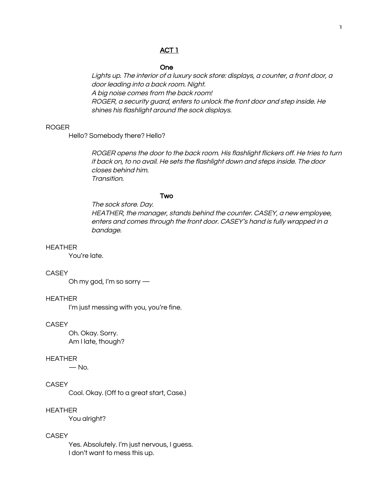### ACT<sub>1</sub>

#### **One**

Lights up. The interior of a luxury sock store: displays, a counter, a front door, a door leading into a back room. Night. A big noise comes from the back room! ROGER, a security guard, enters to unlock the front door and step inside. He shines his flashlight around the sock displays.

#### **ROGER**

Hello? Somebody there? Hello?

ROGER opens the door to the back room. His flashlight flickers off. He tries to turn it back on, to no avail. He sets the flashlight down and steps inside. The door closes behind him. Transition.

#### Two

The sock store, Dav. HEATHER, the manager, stands behind the counter. CASEY, a new employee, enters and comes through the front door. CASEY's hand is fully wrapped in a bandage.

#### **HEATHER**

You're late.

### **CASEY**

Oh my god, I'm so sorry -

#### **HEATHER**

I'm just messing with you, you're fine.

#### **CASEY**

Oh. Okay. Sorry. Am I late, though?

#### **HEATHER**

 $-$  No.

### **CASEY**

Cool. Okay. (Off to a great start, Case.)

#### **HEATHER**

You alright?

#### **CASEY**

Yes. Absolutely. I'm just nervous, I guess. I don't want to mess this up.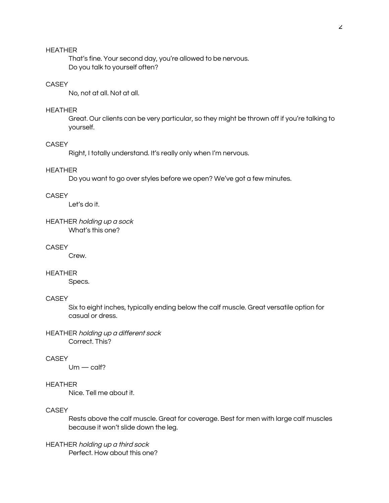That's fine. Your second day, you're allowed to be nervous. Do you talk to yourself often?

### CASEY

No, not at all. Not at all.

#### **HEATHER**

Great. Our clients can be very particular, so they might be thrown off if you're talking to yourself.

#### **CASEY**

Right, I totally understand. It's really only when I'm nervous.

#### **HEATHER**

Do you want to go over styles before we open? We've got a few minutes.

### **CASEY**

Let's do it.

#### HEATHER holding up a sock What's this one?

### **CASEY**

Crew.

### **HEATHER**

Specs.

#### **CASEY**

Six to eight inches, typically ending below the calf muscle. Great versatile option for casual or dress.

#### HEATHER holding up a different sock Correct. This?

#### **CASEY**

 $Um - \text{calf}$ ?

### **HEATHER**

Nice, Tell me about it.

### **CASEY**

Rests above the calf muscle. Great for coverage. Best for men with large calf muscles because it won't slide down the leg.

### HEATHER holding up a third sock Perfect. How about this one?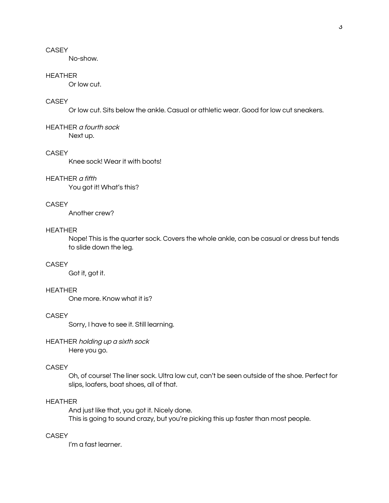No-show.

#### **HEATHER**

Or low cut.

### CASEY

Or low cut. Sits below the ankle. Casual or athletic wear. Good for low cut sneakers.

**HEATHER a fourth sock** Next up.

#### **CASEY**

Knee sock! Wear it with boots!

#### **HEATHER** a fifth

You got it! What's this?

### **CASEY**

Another crew?

### **HEATHER**

Nope! This is the quarter sock. Covers the whole ankle, can be casual or dress but tends to slide down the leg.

#### **CASEY**

Got it, got it.

#### **HEATHER**

One more, Know what it is?

### **CASEY**

Sorry, I have to see it. Still learning.

#### HEATHER holding up a sixth sock Here you go.

### **CASEY**

Oh, of course! The liner sock. Ultra low cut, can't be seen outside of the shoe. Perfect for slips, loafers, boat shoes, all of that.

### **HEATHER**

And just like that, you got it. Nicely done. This is going to sound crazy, but you're picking this up faster than most people.

### **CASEY**

I'm a fast learner.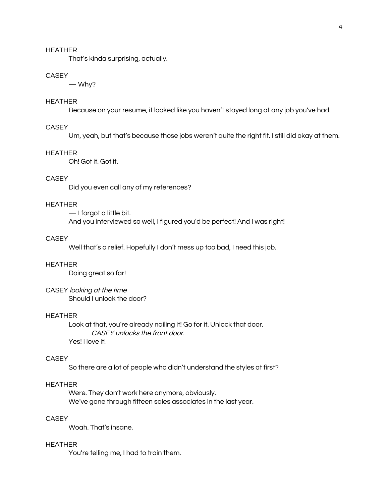That's kinda surprising, actually.

#### **CASEY**

 $-Why?$ 

### **HEATHER**

Because on your resume, it looked like you haven't stayed long at any job you've had.

### **CASEY**

Um, yeah, but that's because those jobs weren't quite the right fit. I still did okay at them.

#### **HEATHER**

Oh! Got it. Got it.

### **CASEY**

Did you even call any of my references?

#### **HEATHER**

 $-$  I forgot a little bit. And you interviewed so well, I figured you'd be perfect! And I was right!

#### **CASEY**

Well that's a relief. Hopefully I don't mess up too bad, I need this job.

#### **HEATHER**

Doing great so far!

#### CASEY looking at the time

Should Lunlock the door?

### **HEATHER**

Look at that, you're already nailing it! Go for it. Unlock that door. CASEY unlocks the front door. Yes! I love it!

### **CASEY**

So there are a lot of people who didn't understand the styles at first?

### **HEATHER**

Were. They don't work here anymore, obviously. We've gone through fifteen sales associates in the last year.

### **CASEY**

Woah. That's insane.

#### **HEATHER**

You're telling me, I had to train them.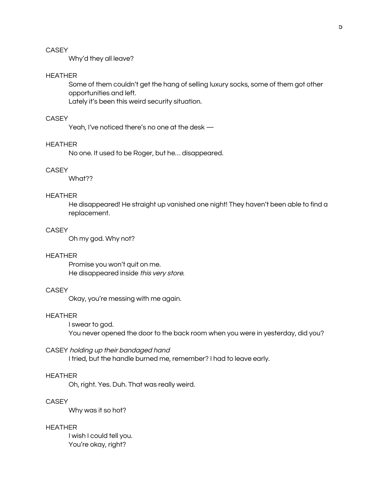Why'd they all leave?

#### **HEATHER**

Some of them couldn't get the hang of selling luxury socks, some of them got other opportunities and left.

Lately it's been this weird security situation.

### **CASEY**

Yeah, I've noticed there's no one at the desk -

#### **HEATHER**

No one. It used to be Roger, but he... disappeared.

#### **CASEY**

What??

### **HEATHER**

He disappeared! He straight up vanished one night! They haven't been able to find a replacement.

### **CASEY**

Oh my god. Why not?

#### **HEATHER**

Promise you won't quit on me. He disappeared inside this very store.

### **CASEY**

Okay, you're messing with me again.

### **HEATHER**

I swear to god. You never opened the door to the back room when you were in yesterday, did you?

CASEY holding up their bandaged hand

I tried, but the handle burned me, remember? I had to leave early.

#### **HEATHER**

Oh, right. Yes. Duh. That was really weird.

#### **CASEY**

Why was it so hot?

### **HEATHER**

I wish I could tell you. You're okay, right?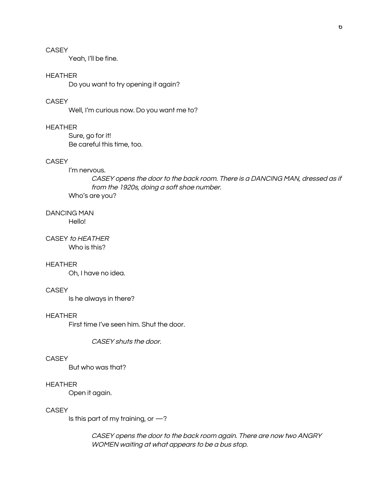Yeah, I'll be fine.

#### **HEATHER**

Do you want to try opening it again?

### **CASEY**

Well, I'm curious now. Do you want me to?

### **HEATHER**

Sure, go for it! Be careful this time, too.

#### **CASEY**

#### I'm nervous.

CASEY opens the door to the back room. There is a DANCING MAN, dressed as if from the 1920s, doing a soft shoe number. Who's are you?

## **DANCING MAN**

Hello!

### CASEY to HEATHER Who is this?

#### **HEATHER**

Oh, I have no idea.

#### **CASEY**

Is he always in there?

### **HEATHER**

First time I've seen him. Shut the door,

CASEY shuts the door.

#### **CASEY**

But who was that?

#### **HEATHER**

Open it again.

### **CASEY**

Is this part of my training, or  $-$ ?

CASEY opens the door to the back room again. There are now two ANGRY WOMEN waiting at what appears to be a bus stop.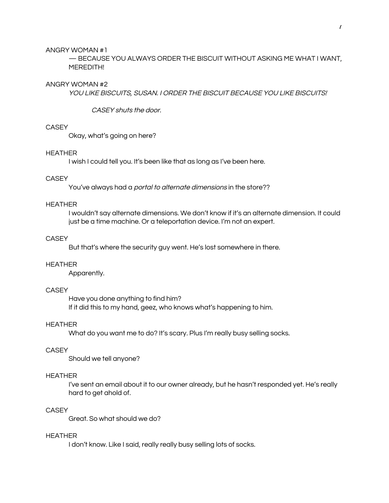#### ANGRY WOMAN #1

- BECAUSE YOU ALWAYS ORDER THE BISCUIT WITHOUT ASKING ME WHAT I WANT, MEREDITH!

#### ANGRY WOMAN #2

YOU LIKE BISCUITS, SUSAN. I ORDER THE BISCUIT BECAUSE YOU LIKE BISCUITS!

CASEY shuts the door.

### CASEY

Okay, what's going on here?

#### **HEATHER**

I wish I could tell you. It's been like that as long as I've been here.

### **CASEY**

You've always had a *portal to alternate dimensions* in the store??

#### **HEATHER**

I wouldn't say alternate dimensions. We don't know if it's an alternate dimension. It could just be a time machine. Or a teleportation device. I'm not an expert.

#### **CASEY**

But that's where the security guy went. He's lost somewhere in there.

#### **HEATHER**

Apparently.

#### **CASEY**

Have you done anything to find him? If it did this to my hand, geez, who knows what's happening to him.

#### **HEATHER**

What do you want me to do? It's scary. Plus I'm really busy selling socks.

### **CASEY**

Should we tell anyone?

#### **HEATHER**

I've sent an email about it to our owner already, but he hasn't responded yet. He's really hard to get ahold of.

### **CASEY**

Great. So what should we do?

#### **HEATHER**

I don't know. Like I said, really really busy selling lots of socks.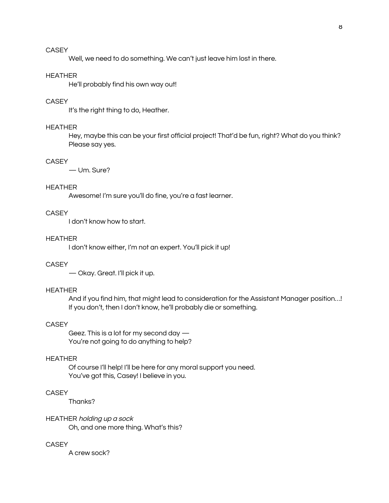Well, we need to do something. We can't just leave him lost in there.

#### **HEATHER**

He'll probably find his own way out!

### **CASEY**

It's the right thing to do, Heather.

#### **HEATHER**

Hey, maybe this can be your first official project! That'd be fun, right? What do you think? Please say yes.

### **CASEY**

-Um. Sure?

#### **HEATHER**

Awesome! I'm sure you'll do fine, you're a fast learner.

### **CASEY**

I don't know how to start.

### **HEATHER**

I don't know either, I'm not an expert. You'll pick it up!

#### **CASEY**

- Okay. Great. I'll pick it up.

#### **HEATHER**

And if you find him, that might lead to consideration for the Assistant Manager position...! If you don't, then I don't know, he'll probably die or something.

#### **CASEY**

Geez. This is a lot for my second day  $-$ You're not going to do anything to help?

#### **HEATHER**

Of course I'll help! I'll be here for any moral support you need. You've got this, Casey! I believe in you.

### **CASEY**

Thanks?

### HEATHER holding up a sock

Oh, and one more thing. What's this?

#### **CASEY**

A crew sock?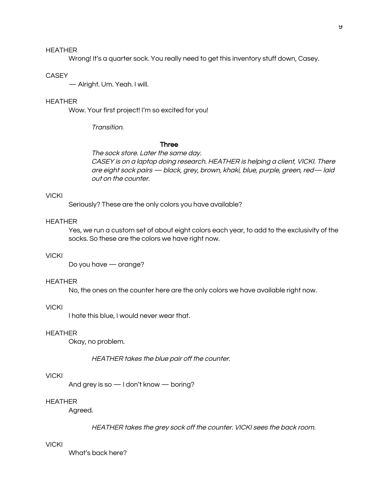Wrong! It's a quarter sock. You really need to get this inventory stuff down, Casey.

#### **CASEY**

- Alright. Um. Yeah. I will.

### **HEATHER**

Wow. Your first project! I'm so excited for you!

Transition.

#### Three

The sock store. Later the same day. CASEY is on a laptop doing research. HEATHER is helping a client, VICKI. There are eight sock pairs - black, grey, brown, khaki, blue, purple, green, red-laid out on the counter.

### **VICKI**

Seriously? These are the only colors you have available?

### **HEATHER**

Yes, we run a custom set of about eight colors each year, to add to the exclusivity of the socks. So these are the colors we have right now.

### **VICKI**

Do you have - orange?

#### **HEATHER**

No, the ones on the counter here are the only colors we have available right now.

#### **VICKI**

I hate this blue, I would never wear that.

#### **HEATHER**

Okay, no problem.

HEATHER takes the blue pair off the counter.

#### **VICKI**

And grey is so - I don't know - boring?

#### **HEATHER**

Agreed.

HEATHER takes the grey sock off the counter. VICKI sees the back room.

#### **VICKI**

What's back here?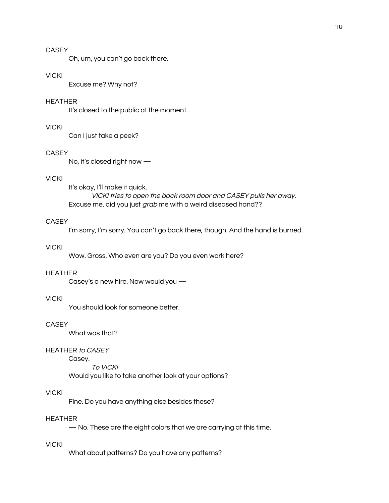Oh, um, you can't go back there.

#### **VICKI**

Excuse me? Why not?

### **HEATHER**

It's closed to the public at the moment.

### **VICKI**

Can I just take a peek?

#### **CASEY**

No, it's closed right now -

### **VICKI**

It's okay, I'll make it quick. VICKI tries to open the back room door and CASEY pulls her away. Excuse me, did you just grab me with a weird diseased hand??

### **CASEY**

I'm sorry, I'm sorry. You can't go back there, though. And the hand is burned.

#### **VICKI**

Wow. Gross. Who even are you? Do you even work here?

#### **HEATHER**

Casey's a new hire. Now would you -

#### **VICKI**

You should look for someone better.

### **CASEY**

What was that?

### **HEATHER to CASEY**

Casey.

To VICKI

Would you like to take another look at your options?

### **VICKI**

Fine. Do you have anything else besides these?

### **HEATHER**

- No. These are the eight colors that we are carrying at this time.

### **VICKI**

What about patterns? Do you have any patterns?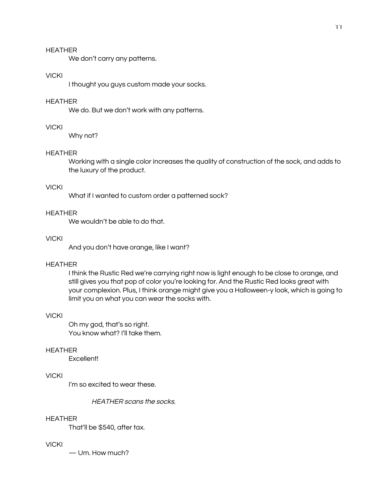We don't carry any patterns.

#### **VICKI**

I thought you guys custom made your socks.

### **HEATHER**

We do. But we don't work with any patterns.

### **VICKI**

Why not?

#### **HEATHER**

Working with a single color increases the quality of construction of the sock, and adds to the luxury of the product.

#### **VICKI**

What if I wanted to custom order a patterned sock?

### **HEATHER**

We wouldn't be able to do that.

#### **VICKI**

And you don't have orange, like I want?

#### **HEATHER**

I think the Rustic Red we're carrying right now is light enough to be close to orange, and still gives you that pop of color you're looking for. And the Rustic Red looks great with your complexion. Plus, I think orange might give you a Halloween-y look, which is going to limit you on what you can wear the socks with.

#### **VICKI**

Oh my god, that's so right. You know what? I'll take them.

### **HEATHER**

Excellent!

#### **VICKI**

I'm so excited to wear these.

HEATHER scans the socks.

#### **HEATHER**

That'll be \$540, after tax.

### **VICKI**

-Um. How much?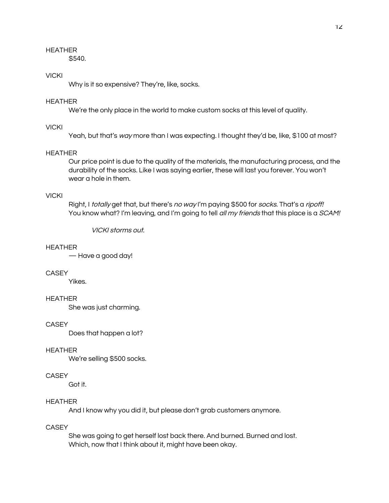\$540.

### **VICKI**

Why is it so expensive? They're, like, socks.

### **HEATHER**

We're the only place in the world to make custom socks at this level of quality.

### **VICKI**

Yeah, but that's way more than I was expecting. I thought they'd be, like, \$100 at most?

#### **HEATHER**

Our price point is due to the quality of the materials, the manufacturing process, and the durability of the socks. Like I was saying earlier, these will last you forever. You won't wear a hole in them.

### **VICKI**

Right, I totally get that, but there's no way I'm paying \$500 for socks. That's a ripoff! You know what? I'm leaving, and I'm going to tell all my friends that this place is a SCAM!

**VICKI storms out.** 

#### **HEATHER**

- Have a good day!

### **CASEY**

Yikes.

#### **HEATHER**

She was just charming.

#### **CASEY**

Does that happen a lot?

#### **HEATHER**

We're selling \$500 socks.

#### **CASEY**

Got it.

#### **HEATHER**

And I know why you did it, but please don't grab customers anymore.

### **CASEY**

She was going to get herself lost back there. And burned. Burned and lost. Which, now that I think about it, might have been okay.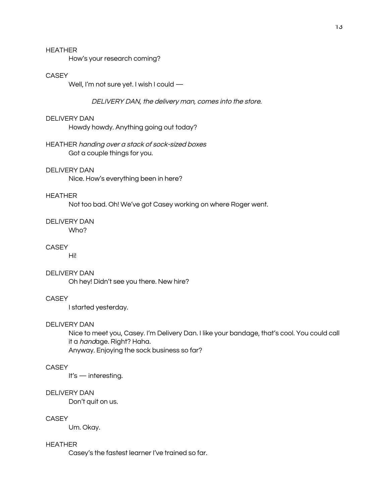How's your research coming?

#### **CASEY**

Well, I'm not sure yet. I wish I could -

DELIVERY DAN, the delivery man, comes into the store.

#### **DELIVERY DAN**

Howdy howdy. Anything going out today?

HEATHER handing over a stack of sock-sized boxes Got a couple things for you.

#### **DELIVERY DAN**

Nice. How's everything been in here?

### **HEATHER**

Not too bad. Oh! We've got Casey working on where Roger went.

#### **DELIVERY DAN**

Who?

#### **CASEY**

Hi!

### **DELIVERY DAN**

Oh hey! Didn't see you there. New hire?

#### **CASEY**

I started yesterday.

#### **DELIVERY DAN**

Nice to meet you, Casey. I'm Delivery Dan. I like your bandage, that's cool. You could call it a handage. Right? Haha.

Anyway. Enjoying the sock business so far?

### **CASEY**

It's  $-$  interesting.

#### **DELIVERY DAN**

Don't quit on us.

#### **CASEY**

Um. Okay.

#### **HEATHER**

Casey's the fastest learner I've trained so far.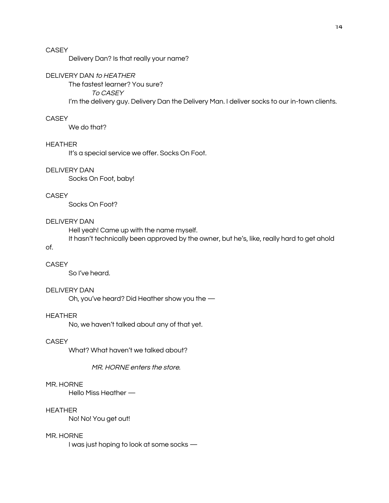Delivery Dan? Is that really your name?

#### DELIVERY DAN to HEATHER

The fastest learner? You sure?

**TO CASEY** 

I'm the delivery guy. Delivery Dan the Delivery Man. I deliver socks to our in-town clients.

#### **CASEY**

We do that?

#### **HEATHER**

It's a special service we offer. Socks On Foot.

### **DELIVERY DAN**

Socks On Foot, baby!

### **CASEY**

Socks On Foot?

### **DELIVERY DAN**

Hell yeah! Came up with the name myself.

It hasn't technically been approved by the owner, but he's, like, really hard to get ahold

#### **CASEY**

of.

So I've heard.

#### **DELIVERY DAN**

Oh, you've heard? Did Heather show you the -

### **HEATHER**

No, we haven't talked about any of that yet.

#### **CASEY**

What? What haven't we talked about?

#### MR. HORNE enters the store.

#### MR. HORNE

Hello Miss Heather -

### **HEATHER**

No! No! You get out!

#### MR. HORNE

I was just hoping to look at some socks -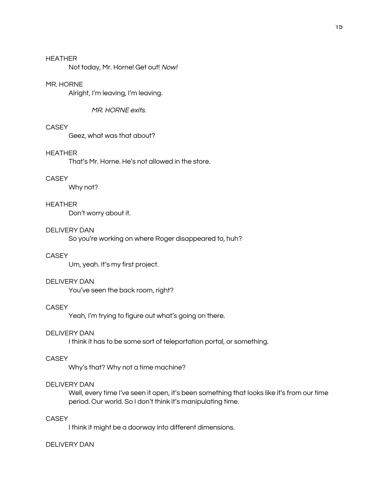Not today, Mr. Horne! Get out! Now!

#### MR. HORNE

Alright, I'm leaving, I'm leaving.

#### MR. HORNE exits.

### CASEY

Geez, what was that about?

#### **HEATHER**

That's Mr. Horne. He's not allowed in the store.

### **CASEY**

Why not?

#### **HEATHER**

Don't worry about it.

#### **DELIVERY DAN**

So you're working on where Roger disappeared to, huh?

### **CASEY**

Um, yeah. It's my first project.

#### **DELIVERY DAN**

You've seen the back room, right?

#### **CASEY**

Yeah, I'm trying to figure out what's going on there.

#### **DELIVERY DAN**

I think it has to be some sort of teleportation portal, or something.

#### **CASEY**

Why's that? Why not a time machine?

#### **DELIVERY DAN**

Well, every time I've seen it open, it's been something that looks like it's from our time period. Our world. So I don't think it's manipulating time.

### **CASEY**

I think it might be a doorway into different dimensions.

#### **DELIVERY DAN**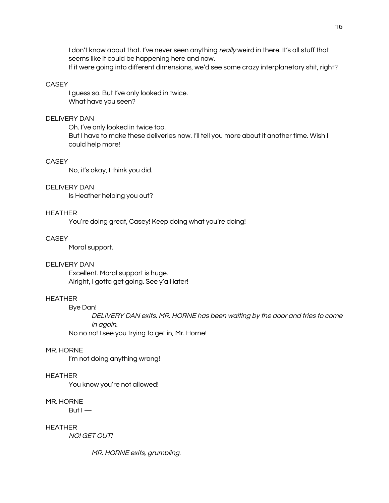I don't know about that. I've never seen anything really weird in there. It's all stuff that seems like it could be happening here and now. If it were going into different dimensions, we'd see some crazy interplanetary shit, right?

#### **CASEY**

I guess so. But I've only looked in twice. What have you seen?

### **DELIVERY DAN**

Oh. I've only looked in twice too. But I have to make these deliveries now. I'll tell you more about it another time. Wish I could help more!

#### **CASEY**

No, it's okay, I think you did.

#### **DELIVERY DAN**

Is Heather helping you out?

### **HEATHER**

You're doing great, Casey! Keep doing what you're doing!

#### **CASEY**

Moral support.

#### **DELIVERY DAN**

Excellent. Moral support is huge. Alright, I gotta get going. See y'all later!

#### **HEATHER**

**Bye Dan!** 

DELIVERY DAN exits. MR. HORNE has been waiting by the door and tries to come in again.

No no no! I see you trying to get in, Mr. Horne!

#### MR. HORNE

I'm not doing anything wrong!

#### **HEATHER**

You know you're not allowed!

#### MR. HORNE

 $B$ ut I $-$ 

**HEATHER** 

**NO! GET OUT!** 

MR. HORNE exits, grumbling.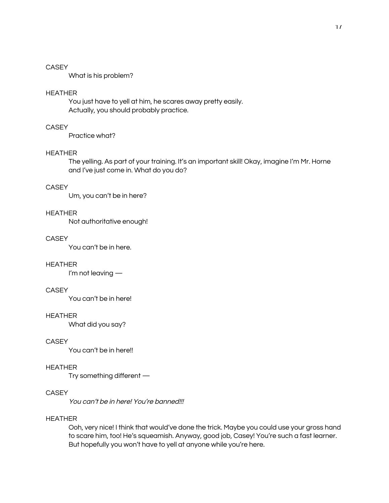What is his problem?

#### **HEATHER**

You just have to yell at him, he scares away pretty easily. Actually, you should probably practice.

### CASEY

Practice what?

#### **HEATHER**

The yelling. As part of your training. It's an important skill! Okay, imagine I'm Mr. Horne and I've just come in. What do you do?

### **CASEY**

Um, you can't be in here?

### **HEATHER**

Not authoritative enough!

#### **CASEY**

You can't be in here.

#### **HEATHER**

I'm not leaving -

### **CASEY**

You can't be in here!

### **HEATHER**

What did you say?

### **CASEY**

You can't be in here!!

#### **HEATHER**

Try something different -

#### **CASEY**

You can't be in here! You're banned!!!

#### **HEATHER**

Ooh, very nice! I think that would've done the trick. Maybe you could use your gross hand to scare him, too! He's squeamish. Anyway, good job, Casey! You're such a fast learner. But hopefully you won't have to yell at anyone while you're here.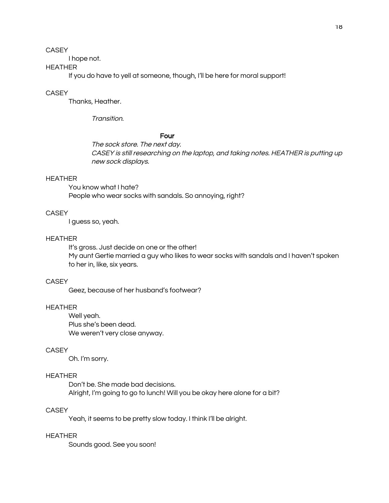I hope not.

### **HEATHER**

If you do have to yell at someone, though, I'll be here for moral support!

#### **CASEY**

Thanks, Heather.

Transition.

#### Four

The sock store. The next day. CASEY is still researching on the laptop, and taking notes. HEATHER is putting up new sock displays.

#### **HEATHER**

You know what I hate? People who wear socks with sandals. So annoying, right?

### **CASEY**

I guess so, yeah.

### **HEATHER**

It's gross. Just decide on one or the other! My aunt Gertie married a guy who likes to wear socks with sandals and I haven't spoken to her in, like, six years.

### **CASEY**

Geez, because of her husband's footwear?

### **HEATHER**

Well yeah. Plus she's been dead. We weren't very close anyway.

### **CASEY**

Oh. I'm sorry.

### **HEATHER**

Don't be. She made bad decisions. Alright, I'm going to go to lunch! Will you be okay here alone for a bit?

### **CASEY**

Yeah, it seems to be pretty slow today. I think I'll be alright.

#### **HEATHER**

Sounds good. See you soon!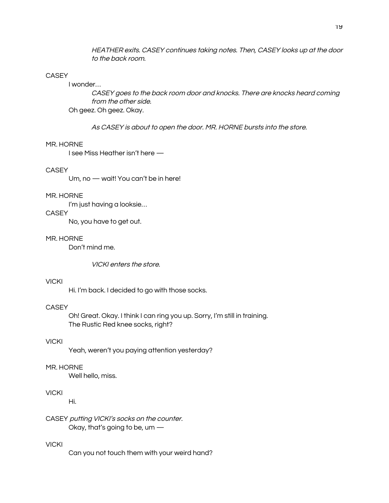HEATHER exits. CASEY continues taking notes. Then, CASEY looks up at the door to the back room.

#### **CASEY**

### I wonder...

CASEY goes to the back room door and knocks. There are knocks heard coming from the other side. Oh geez. Oh geez. Okay.

As CASEY is about to open the door. MR. HORNE bursts into the store.

#### MR. HORNE

I see Miss Heather isn't here -

#### **CASEY**

Um, no - wait! You can't be in here!

#### MR. HORNE

I'm just having a looksie...

### **CASEY**

No, you have to get out.

#### MR. HORNE

Don't mind me.

VICKI enters the store.

#### **VICKI**

Hi. I'm back. I decided to go with those socks.

### **CASEY**

Oh! Great. Okay. I think I can ring you up. Sorry, I'm still in training. The Rustic Red knee socks, right?

### **VICKI**

Yeah, weren't you paying attention yesterday?

#### MR. HORNE

Well hello, miss.

### **VICKI**

Hi.

CASEY putting VICKI's socks on the counter. Okay, that's going to be, um  $-$ 

### **VICKI**

Can you not touch them with your weird hand?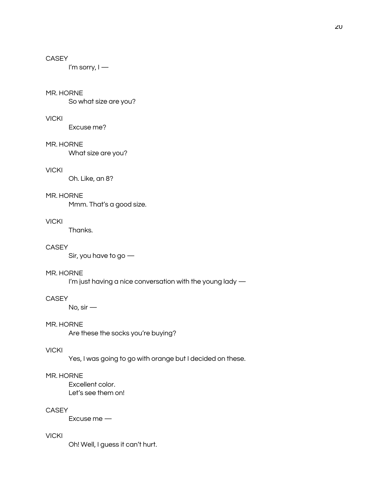I'm sorry,  $I -$ 

#### MR. HORNE

So what size are you?

#### **VICKI**

Excuse me?

#### MR. HORNE

What size are you?

#### **VICKI**

Oh. Like, an 8?

### MR. HORNE

Mmm. That's a good size.

### **VICKI**

Thanks.

#### **CASEY**

Sir, you have to go  $-$ 

### MR. HORNE

I'm just having a nice conversation with the young lady -

### **CASEY**

No,  $\sin$  —

### MR. HORNE

Are these the socks you're buying?

### **VICKI**

Yes, I was going to go with orange but I decided on these.

#### MR. HORNE

Excellent color. Let's see them on!

### **CASEY**

Excuse me -

#### **VICKI**

Oh! Well, I guess it can't hurt.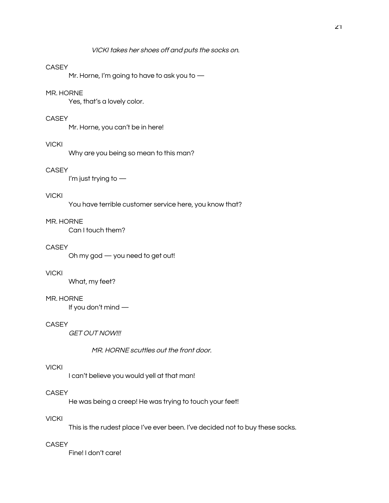Mr. Horne, I'm going to have to ask you to  $-$ 

#### MR. HORNE

Yes, that's a lovely color.

### **CASEY**

Mr. Horne, you can't be in here!

### **VICKI**

Why are you being so mean to this man?

### **CASEY**

I'm just trying to  $-$ 

### **VICKI**

You have terrible customer service here, you know that?

#### MR. HORNE

Can I touch them?

#### **CASEY**

Oh my god - you need to get out!

### **VICKI**

What, my feet?

#### MR. HORNE

If you don't mind -

### **CASEY**

**GET OUT NOW!!!** 

MR. HORNE scuttles out the front door.

### **VICKI**

I can't believe you would yell at that man!

#### **CASEY**

He was being a creep! He was trying to touch your feet!

### **VICKI**

This is the rudest place I've ever been. I've decided not to buy these socks.

### **CASEY**

Fine! I don't care!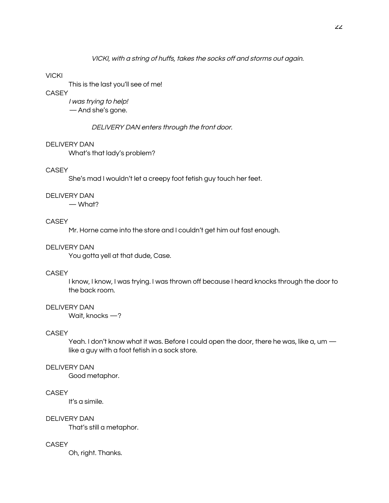#### **VICKI**

This is the last you'll see of me!

### **CASEY**

I was trying to help! - And she's gone.

DELIVERY DAN enters through the front door.

#### **DELIVERY DAN**

What's that lady's problem?

#### **CASEY**

She's mad I wouldn't let a creepy foot fetish guy touch her feet.

### **DELIVERY DAN**

 $-$  What?

### **CASEY**

Mr. Horne came into the store and I couldn't get him out fast enough.

#### **DELIVERY DAN**

You gotta yell at that dude, Case.

### **CASEY**

I know, I know, I was trying. I was thrown off because I heard knocks through the door to the back room.

### **DELIVERY DAN**

Wait, knocks  $-$ ?

### **CASEY**

Yeah. I don't know what it was. Before I could open the door, there he was, like a, um like a guy with a foot fetish in a sock store.

#### **DELIVERY DAN**

Good metaphor.

#### **CASEY**

It's a simile.

#### **DELIVERY DAN**

That's still a metaphor.

#### **CASEY**

Oh, right. Thanks.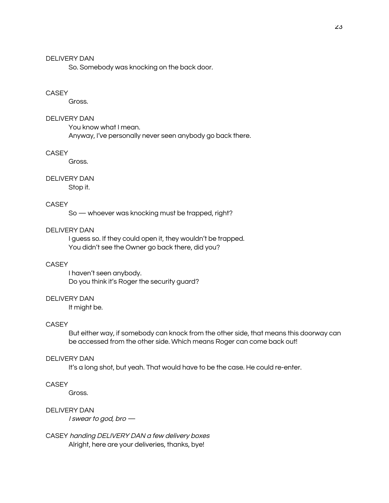So. Somebody was knocking on the back door.

#### **CASEY**

Gross.

### **DELIVERY DAN**

You know what I mean.

Anyway, I've personally never seen anybody go back there.

#### **CASEY**

Gross.

### **DELIVERY DAN**

Stop it.

#### **CASEY**

So - whoever was knocking must be trapped, right?

### **DELIVERY DAN**

I guess so. If they could open it, they wouldn't be trapped. You didn't see the Owner go back there, did you?

#### **CASEY**

I haven't seen anybody. Do you think it's Roger the security guard?

#### **DELIVERY DAN**

It might be.

#### **CASEY**

But either way, if somebody can knock from the other side, that means this doorway can be accessed from the other side. Which means Roger can come back out!

#### **DELIVERY DAN**

It's a long shot, but yeah. That would have to be the case. He could re-enter.

#### **CASEY**

Gross.

### **DELIVERY DAN**

I swear to god, bro -

CASEY handing DELIVERY DAN a few delivery boxes Alright, here are your deliveries, thanks, bye!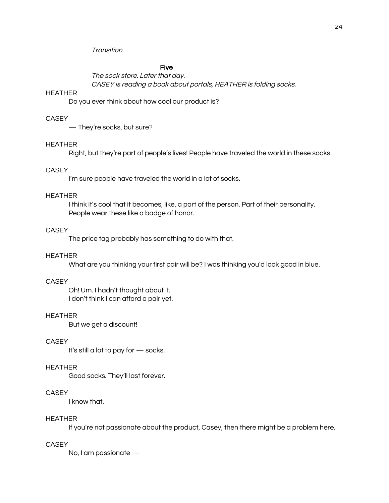Transition.

### Five

The sock store. Later that day. CASEY is reading a book about portals, HEATHER is folding socks.

#### **HEATHER**

Do you ever think about how cool our product is?

#### **CASEY**

- They're socks, but sure?

#### **HEATHER**

Right, but they're part of people's lives! People have traveled the world in these socks.

#### **CASEY**

I'm sure people have traveled the world in a lot of socks.

#### **HEATHER**

I think it's cool that it becomes, like, a part of the person. Part of their personality. People wear these like a badge of honor.

### **CASEY**

The price tag probably has something to do with that.

#### **HEATHER**

What are you thinking your first pair will be? I was thinking you'd look good in blue.

#### **CASEY**

Oh! Um. I hadn't thought about it. I don't think I can afford a pair yet.

### **HEATHER**

But we get a discount!

#### **CASEY**

It's still a lot to pay for  $-$  socks.

#### **HEATHER**

Good socks. They'll last forever.

#### **CASEY**

I know that.

### **HEATHER**

If you're not passionate about the product, Casey, then there might be a problem here.

#### **CASEY**

No, I am passionate -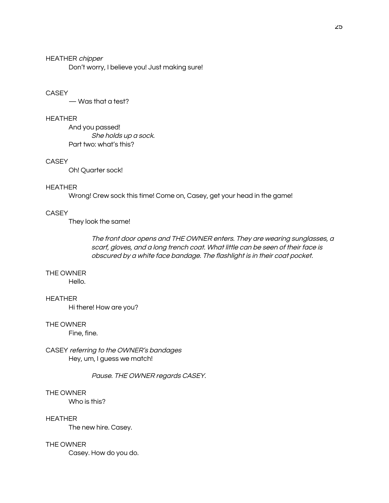**HEATHER chipper** Don't worry, I believe you! Just making sure!

### **CASEY**

 $-$  Was that a test?

### **HEATHER**

And you passed! She holds up a sock. Part two: what's this?

### **CASEY**

Oh! Quarter sock!

#### **HEATHER**

Wrong! Crew sock this time! Come on, Casey, get your head in the game!

### **CASEY**

They look the same!

The front door opens and THE OWNER enters. They are wearing sunglasses, a scarf, gloves, and a long trench coat. What little can be seen of their face is obscured by a white face bandage. The flashlight is in their coat pocket.

### THE OWNER

Hello.

### **HEATHER**

Hi there! How are you?

### THE OWNER

Fine, fine.

CASEY referring to the OWNER's bandages Hey, um, I guess we match!

Pause. THE OWNER regards CASEY.

### THE OWNER

Who is this?

#### **HEATHER**

The new hire. Casey.

#### THE OWNER

Casey. How do you do.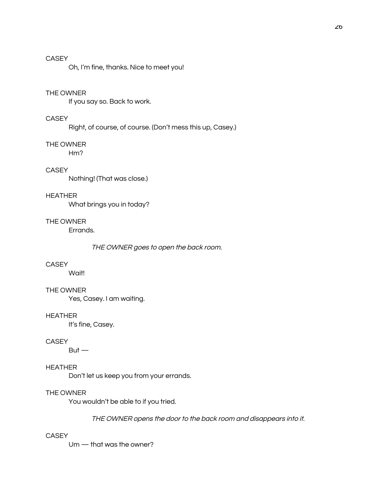Oh, I'm fine, thanks. Nice to meet you!

#### THE OWNER

If you say so. Back to work.

### **CASEY**

Right, of course, of course. (Don't mess this up, Casey.)

#### THE OWNER

 $Hm?$ 

### **CASEY**

Nothing! (That was close.)

### **HEATHER**

What brings you in today?

#### THE OWNER

Errands.

#### THE OWNER goes to open the back room.

#### **CASEY**

Wait!

### THE OWNER

Yes, Casey. I am waiting.

### **HEATHER**

It's fine, Casey.

#### **CASEY**

 $But -$ 

### **HEATHER**

Don't let us keep you from your errands.

#### THE OWNER

You wouldn't be able to if you tried.

### THE OWNER opens the door to the back room and disappears into it.

#### **CASEY**

 $Um - that was the owner?$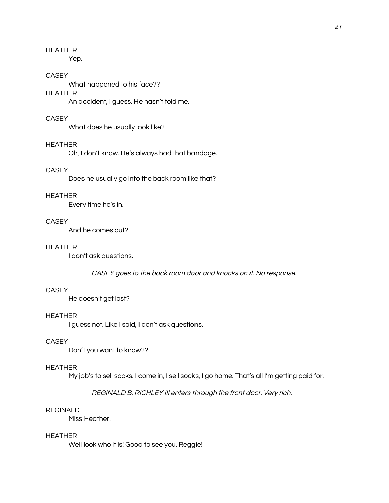Yep.

#### **CASEY**

What happened to his face??

### **HEATHER**

An accident, I guess. He hasn't told me.

### **CASEY**

What does he usually look like?

### **HEATHER**

Oh, I don't know. He's always had that bandage.

### **CASEY**

Does he usually go into the back room like that?

#### **HEATHER**

Every time he's in.

#### **CASEY**

And he comes out?

#### **HEATHER**

I don't ask questions.

CASEY goes to the back room door and knocks on it. No response.

### **CASEY**

He doesn't get lost?

### **HEATHER**

I guess not. Like I said, I don't ask questions.

### **CASEY**

Don't you want to know??

#### **HEATHER**

My job's to sell socks. I come in, I sell socks, I go home. That's all I'm getting paid for.

#### REGINALD B. RICHLEY III enters through the front door. Very rich.

### **REGINALD**

Miss Heather!

#### **HEATHER**

Well look who it is! Good to see you, Reggie!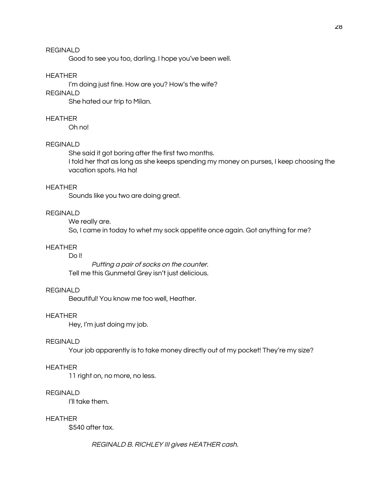Good to see you too, darling. I hope you've been well.

#### **HEATHER**

I'm doing just fine. How are you? How's the wife?

### **REGINALD**

She hated our trip to Milan.

#### **HEATHER**

Oh no!

#### **REGINALD**

She said it got boring after the first two months.

I told her that as long as she keeps spending my money on purses, I keep choosing the vacation spots. Ha ha!

#### **HEATHER**

Sounds like you two are doing great.

### **REGINALD**

We really are.

So, I came in today to whet my sock appetite once again. Got anything for me?

#### **HEATHER**

### Do II

Putting a pair of socks on the counter. Tell me this Gunmetal Grey isn't just delicious.

#### **REGINALD**

Beautiful! You know me too well, Heather.

### **HEATHER**

Hey, I'm just doing my job.

#### **REGINALD**

Your job apparently is to take money directly out of my pocket! They're my size?

#### **HEATHER**

11 right on, no more, no less.

#### **REGINALD**

I'll take them.

### **HEATHER**

\$540 after tax.

REGINALD B. RICHLEY III gives HEATHER cash.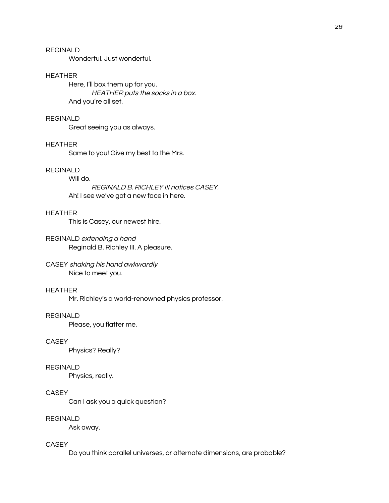Wonderful, Just wonderful.

#### **HEATHER**

Here, I'll box them up for you. HEATHER puts the socks in a box. And you're all set.

#### **REGINALD**

Great seeing you as always.

### **HEATHER**

Same to you! Give my best to the Mrs.

### **REGINALD**

Will do. REGINALD B. RICHLEY III notices CASEY. Ah! I see we've got a new face in here.

#### **HEATHER**

This is Casey, our newest hire.

### REGINALD extending a hand Reginald B. Richley III. A pleasure.

#### CASEY shaking his hand awkwardly Nice to meet you.

#### **HEATHER**

Mr. Richley's a world-renowned physics professor.

### **REGINALD**

Please, you flatter me.

#### **CASEY**

Physics? Really?

#### **REGINALD**

Physics, really.

#### **CASEY**

Can I ask you a quick question?

### **REGINALD**

Ask away.

### **CASEY**

Do you think parallel universes, or alternate dimensions, are probable?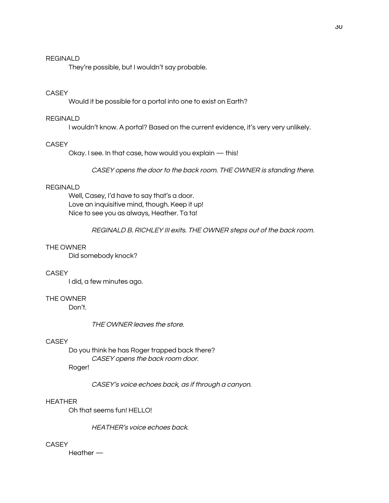#### **REGINALD**

They're possible, but I wouldn't say probable.

### **CASEY**

Would it be possible for a portal into one to exist on Earth?

#### **REGINALD**

I wouldn't know. A portal? Based on the current evidence, it's very very unlikely.

#### **CASEY**

Okay. I see. In that case, how would you explain - this!

CASEY opens the door to the back room. THE OWNER is standing there.

### **REGINALD**

Well, Casey, I'd have to say that's a door. Love an inquisitive mind, though. Keep it up! Nice to see you as always, Heather. Ta ta!

REGINALD B. RICHLEY III exits. THE OWNER steps out of the back room.

#### THE OWNER

Did somebody knock?

### **CASEY**

I did, a few minutes ago.

#### THE OWNER

Don't.

THE OWNER leaves the store.

#### **CASEY**

Do you think he has Roger trapped back there? CASEY opens the back room door.

Roger!

CASEY's voice echoes back, as if through a canyon.

### **HEATHER**

Oh that seems fun! HELLO!

HEATHER's voice echoes back.

#### **CASEY**

 $H$ eather  $-$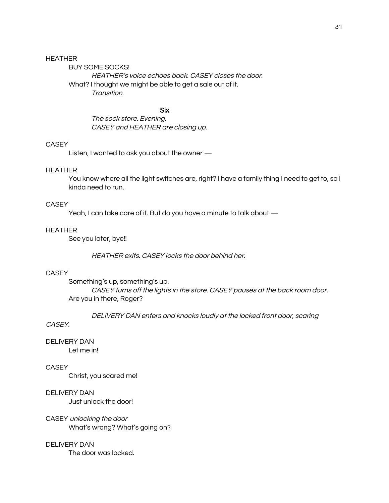**BUY SOME SOCKS!** HEATHER's voice echoes back. CASEY closes the door. What? I thought we might be able to get a sale out of it. Transition.

#### **Six**

The sock store. Evening. CASEY and HEATHER are closing up.

#### **CASEY**

Listen, I wanted to ask you about the owner -

#### **HEATHER**

You know where all the light switches are, right? I have a family thing I need to get to, so I kinda need to run.

#### **CASEY**

Yeah, I can take care of it. But do you have a minute to talk about -

### **HEATHER**

See you later, bye!!

HEATHER exits. CASEY locks the door behind her.

### **CASEY**

Something's up, something's up. CASEY turns off the lights in the store. CASEY pauses at the back room door. Are you in there, Roger?

DELIVERY DAN enters and knocks loudly at the locked front door, scaring

### CASEY.

**DELIVERY DAN** 

Let me in!

### **CASEY**

Christ, you scared me!

**DELIVERY DAN** Just unlock the door!

CASEY unlocking the door What's wrong? What's going on?

### **DELIVERY DAN**

The door was locked.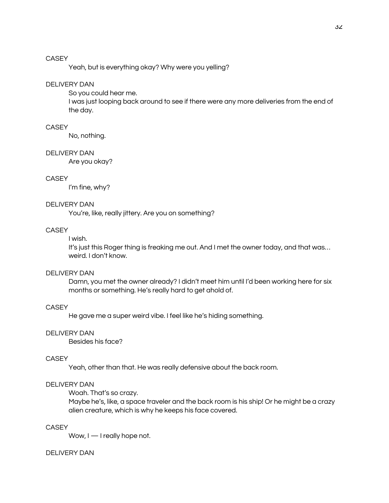Yeah, but is everything okay? Why were you yelling?

#### **DELIVERY DAN**

So you could hear me.

I was just looping back around to see if there were any more deliveries from the end of the day.

### CASEY

No, nothing.

#### **DELIVERY DAN**

Are you okay?

### **CASEY**

I'm fine, why?

#### **DELIVERY DAN**

You're, like, really jittery. Are you on something?

#### **CASEY**

#### I wish.

It's just this Roger thing is freaking me out. And I met the owner today, and that was... weird. I don't know.

### **DELIVERY DAN**

Damn, you met the owner already? I didn't meet him until I'd been working here for six months or something. He's really hard to get ahold of.

### **CASEY**

He gave me a super weird vibe. I feel like he's hiding something.

#### **DELIVERY DAN**

Besides his face?

#### **CASEY**

Yeah, other than that. He was really defensive about the back room.

#### **DELIVERY DAN**

Woah. That's so crazy.

Maybe he's, like, a space traveler and the back room is his ship! Or he might be a crazy alien creature, which is why he keeps his face covered.

### **CASEY**

Wow, I - I really hope not.

#### **DELIVERY DAN**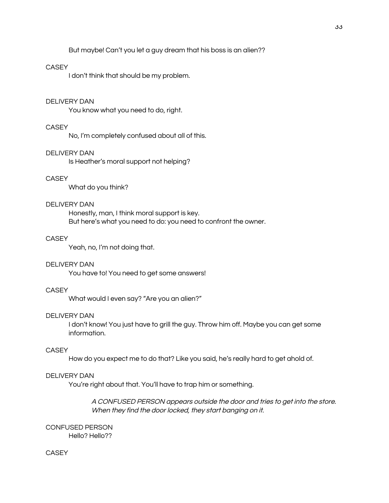But maybe! Can't you let a guy dream that his boss is an alien??

#### **CASEY**

I don't think that should be my problem.

#### **DELIVERY DAN**

You know what you need to do, right.

### CASEY

No, I'm completely confused about all of this.

#### **DELIVERY DAN**

Is Heather's moral support not helping?

### **CASEY**

What do you think?

#### **DELIVERY DAN**

Honestly, man, I think moral support is key. But here's what you need to do: you need to confront the owner.

#### **CASEY**

Yeah, no, I'm not doing that.

#### **DELIVERY DAN**

You have to! You need to get some answers!

#### **CASEY**

What would I even say? "Are you an alien?"

### **DELIVERY DAN**

I don't know! You just have to grill the guy. Throw him off. Maybe you can get some information.

### **CASEY**

How do you expect me to do that? Like you said, he's really hard to get ahold of.

#### **DELIVERY DAN**

You're right about that. You'll have to trap him or something.

A CONFUSED PERSON appears outside the door and tries to get into the store. When they find the door locked, they start banging on it.

**CONFUSED PERSON** Hello? Hello??

### **CASEY**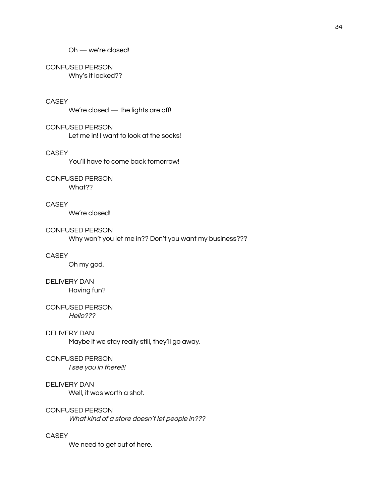### CONFUSED PERSON

Why's it locked??

### **CASEY**

We're closed - the lights are off!

### **CONFUSED PERSON**

Let me in! I want to look at the socks!

#### **CASEY**

You'll have to come back tomorrow!

### CONFUSED PERSON

What??

### **CASEY**

We're closed!

#### **CONFUSED PERSON**

Why won't you let me in?? Don't you want my business???

### **CASEY**

Oh my god.

#### **DELIVERY DAN**

Having fun?

#### **CONFUSED PERSON**  $Hello?$ ??

## **DELIVERY DAN**

Maybe if we stay really still, they'll go away.

#### CONFUSED PERSON

I see you in there!!!

### **DELIVERY DAN**

Well, it was worth a shot.

#### CONFUSED PERSON

What kind of a store doesn't let people in???

### **CASEY**

We need to get out of here.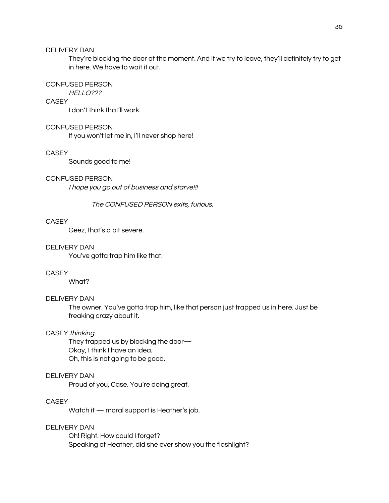They're blocking the door at the moment. And if we try to leave, they'll definitely try to get in here. We have to wait it out.

#### **CONFUSED PERSON**

### HELLO???

**CASEY** 

I don't think that'll work.

### **CONFUSED PERSON**

If you won't let me in, I'll never shop here!

#### **CASEY**

Sounds good to me!

#### **CONFUSED PERSON**

I hope you go out of business and starve!!!

The CONFUSED PERSON exits, furious.

#### **CASEY**

Geez, that's a bit severe.

#### **DELIVERY DAN**

You've gotta trap him like that.

### **CASEY**

What?

#### **DELIVERY DAN**

The owner. You've gotta trap him, like that person just trapped us in here. Just be freaking crazy about it.

#### CASEY thinking

They trapped us by blocking the door-Okay, I think I have an idea. Oh, this is not going to be good.

#### **DELIVERY DAN**

Proud of you, Case. You're doing great.

### **CASEY**

Watch it - moral support is Heather's job.

### **DELIVERY DAN**

Oh! Right. How could I forget? Speaking of Heather, did she ever show you the flashlight?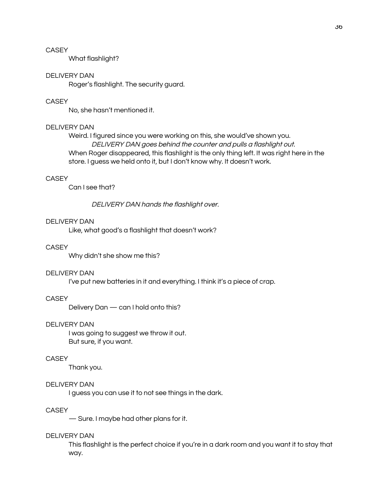What flashlight?

#### **DELIVERY DAN**

Roger's flashlight. The security guard.

### CASEY

No, she hasn't mentioned it.

#### **DELIVERY DAN**

Weird. I figured since you were working on this, she would've shown you. DELIVERY DAN goes behind the counter and pulls a flashlight out. When Roger disappeared, this flashlight is the only thing left. It was right here in the store. I guess we held onto it, but I don't know why. It doesn't work.

### **CASEY**

Can I see that?

DELIVERY DAN hands the flashlight over.

#### **DELIVERY DAN**

Like, what good's a flashlight that doesn't work?

#### **CASEY**

Why didn't she show me this?

#### **DELIVERY DAN**

I've put new batteries in it and everything. I think it's a piece of crap.

#### **CASEY**

Delivery Dan - can I hold onto this?

#### **DELIVERY DAN**

I was going to suggest we throw it out. But sure, if you want.

### **CASEY**

Thank you.

#### **DELIVERY DAN**

I guess you can use it to not see things in the dark.

### **CASEY**

-Sure. I maybe had other plans for it.

#### **DELIVERY DAN**

This flashlight is the perfect choice if you're in a dark room and you want it to stay that way.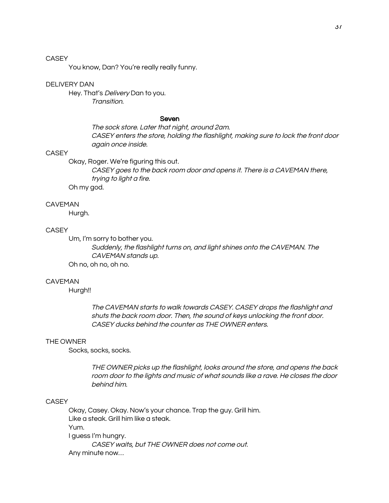You know, Dan? You're really really funny.

#### **DELIVERY DAN**

Hey. That's *Delivery* Dan to you. Transition.

#### Seven

The sock store. Later that night, around 2am. CASEY enters the store, holding the flashlight, making sure to lock the front door again once inside.

#### **CASEY**

Okay, Roger. We're figuring this out.

CASEY goes to the back room door and opens it. There is a CAVEMAN there, trying to light a fire.

Oh my god.

#### **CAVEMAN**

Hurgh.

### **CASEY**

Um, I'm sorry to bother you. Suddenly, the flashlight turns on, and light shines onto the CAVEMAN. The CAVEMAN stands up. Oh no, oh no, oh no.

#### **CAVEMAN**

Hurgh!!

The CAVEMAN starts to walk towards CASEY. CASEY drops the flashlight and shuts the back room door. Then, the sound of keys unlocking the front door. CASEY ducks behind the counter as THE OWNER enters.

#### THE OWNER

Socks, socks, socks.

THE OWNER picks up the flashlight, looks around the store, and opens the back room door to the lights and music of what sounds like a rave. He closes the door behind him.

### **CASEY**

Okay, Casey. Okay. Now's your chance. Trap the guy. Grill him. Like a steak. Grill him like a steak. Yum. I guess I'm hungry. CASEY waits, but THE OWNER does not come out. Any minute now...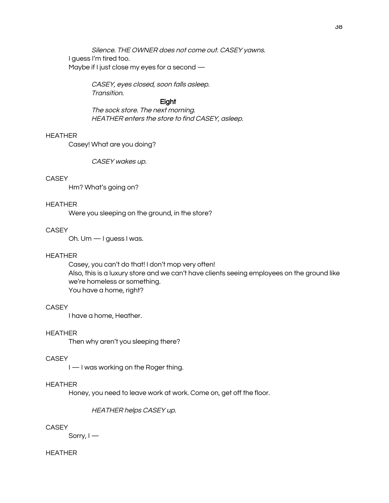Silence. THE OWNER does not come out. CASEY yawns. I guess I'm tired too. Maybe if I just close my eyes for a second -

> CASEY, eyes closed, soon falls asleep. Transition.

#### Eight

The sock store. The next morning. HEATHER enters the store to find CASEY, asleep.

### **HEATHER**

Casey! What are you doing?

CASEY wakes up.

### **CASEY**

Hm? What's going on?

#### **HEATHER**

Were you sleeping on the ground, in the store?

#### **CASEY**

Oh. Um - I guess I was.

#### **HEATHER**

Casey, you can't do that! I don't mop very often! Also, this is a luxury store and we can't have clients seeing employees on the ground like we're homeless or something. You have a home, right?

### **CASEY**

I have a home, Heather.

#### **HEATHER**

Then why aren't you sleeping there?

#### **CASEY**

I — I was working on the Roger thing.

### **HEATHER**

Honey, you need to leave work at work. Come on, get off the floor.

HEATHER helps CASEY up.

### **CASEY**

Sorry,  $I$  –

#### **HEATHER**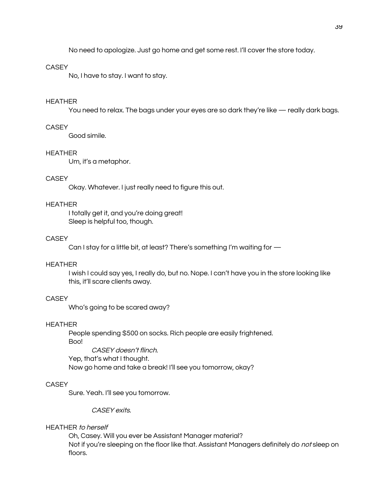No need to apologize. Just go home and get some rest. I'll cover the store today.

#### **CASEY**

No, I have to stay. I want to stay.

#### **HEATHER**

You need to relax. The bags under your eyes are so dark they're like — really dark bags.

### CASEY

Good simile.

#### **HEATHER**

Um, it's a metaphor.

### **CASEY**

Okay. Whatever. I just really need to figure this out.

#### **HEATHER**

I totally get it, and you're doing great! Sleep is helpful too, though.

#### **CASEY**

Can I stay for a little bit, at least? There's something I'm waiting for -

#### **HEATHER**

I wish I could say yes, I really do, but no. Nope. I can't have you in the store looking like this, it'll scare clients away.

### **CASEY**

Who's going to be scared away?

### **HEATHER**

People spending \$500 on socks. Rich people are easily frightened. Boo! CASEY doesn't flinch.

Yep, that's what I thought. Now go home and take a break! I'll see you tomorrow, okay?

### **CASEY**

Sure. Yeah. I'll see you tomorrow.

CASEY exits.

### **HEATHER** to herself

Oh, Casey. Will you ever be Assistant Manager material? Not if you're sleeping on the floor like that. Assistant Managers definitely do not sleep on floors.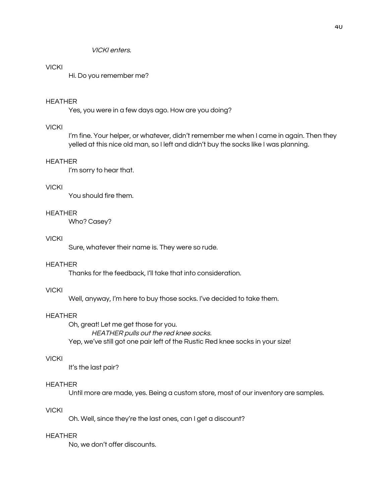**VICKI** enters.

### **VICKI**

Hi. Do you remember me?

#### **HEATHER**

Yes, you were in a few days ago. How are you doing?

### **VICKI**

I'm fine. Your helper, or whatever, didn't remember me when I came in again. Then they yelled at this nice old man, so I left and didn't buy the socks like I was planning.

### **HEATHER**

I'm sorry to hear that.

#### **VICKI**

You should fire them.

### **HEATHER**

Who? Casey?

### **VICKI**

Sure, whatever their name is. They were so rude.

#### **HEATHER**

Thanks for the feedback, I'll take that into consideration.

#### **VICKI**

Well, anyway, I'm here to buy those socks. I've decided to take them.

### **HEATHER**

Oh, great! Let me get those for you. HEATHER pulls out the red knee socks. Yep, we've still got one pair left of the Rustic Red knee socks in your size!

#### **VICKI**

It's the last pair?

#### **HEATHER**

Until more are made, yes. Being a custom store, most of our inventory are samples.

### **VICKI**

Oh. Well, since they're the last ones, can I get a discount?

#### **HEATHER**

No, we don't offer discounts.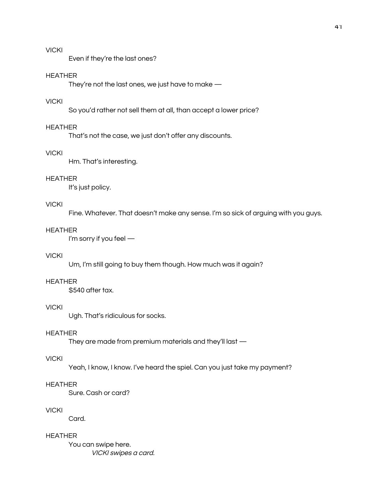### **VICKI**

Even if they're the last ones?

#### **HEATHER**

They're not the last ones, we just have to make  $-$ 

### **VICKI**

So you'd rather not sell them at all, than accept a lower price?

### **HEATHER**

That's not the case, we just don't offer any discounts.

### **VICKI**

Hm. That's interesting.

### **HEATHER**

It's just policy.

### **VICKI**

Fine. Whatever. That doesn't make any sense. I'm so sick of arguing with you guys.

### **HEATHER**

I'm sorry if you feel -

### **VICKI**

Um, I'm still going to buy them though. How much was it again?

#### **HEATHER**

\$540 after tax.

### **VICKI**

Ugh. That's ridiculous for socks.

### **HEATHER**

They are made from premium materials and they'll last  $-$ 

#### **VICKI**

Yeah, I know, I know. I've heard the spiel. Can you just take my payment?

### **HEATHER**

Sure, Cash or card?

### **VICKI**

Card.

#### **HEATHER**

You can swipe here. VICKI swipes a card.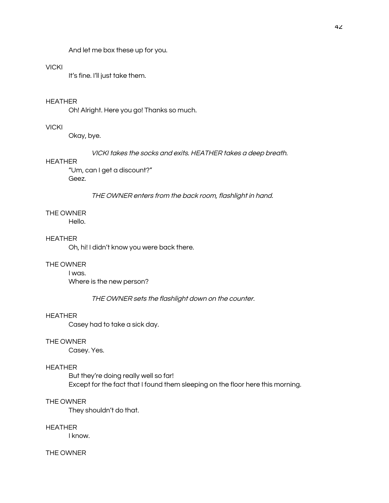And let me box these up for you.

### **VICKI**

It's fine. I'll just take them.

### **HEATHER**

Oh! Alright. Here you go! Thanks so much.

### **VICKI**

Okay, bye.

VICKI takes the socks and exits. HEATHER takes a deep breath.

### **HEATHER**

"Um, can I get a discount?" Geez.

THE OWNER enters from the back room, flashlight in hand.

#### THE OWNER

Hello.

### **HEATHER**

Oh, hi! I didn't know you were back there.

#### THE OWNER

### I was.

Where is the new person?

THE OWNER sets the flashlight down on the counter.

#### **HEATHER**

Casey had to take a sick day.

#### THE OWNER

Casey. Yes.

#### **HEATHER**

But they're doing really well so far! Except for the fact that I found them sleeping on the floor here this morning.

#### THE OWNER

They shouldn't do that.

### **HEATHER**

I know.

#### THE OWNER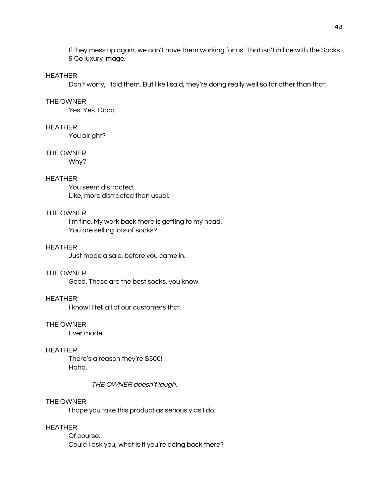If they mess up again, we can't have them working for us. That isn't in line with the Socks & Coluxury image.

#### **HEATHER**

Don't worry, I told them. But like I said, they're doing really well so far other than that!

#### THE OWNER

Yes, Yes, Good,

### **HEATHER**

You alright?

#### THE OWNER

Why?

### **HEATHER**

You seem distracted. Like, more distracted than usual.

#### THE OWNER

I'm fine. My work back there is getting to my head. You are selling lots of socks?

#### **HEATHER**

Just made a sale, before you came in.

### THE OWNER

Good. These are the best socks, you know.

#### **HEATHER**

I know! I tell all of our customers that.

#### THE OWNER

Ever made.

#### **HEATHER**

There's a reason they're \$500! Haha.

#### THE OWNER doesn't laugh.

#### THE OWNER

I hope you take this product as seriously as I do.

### **HEATHER**

Of course. Could I ask you, what is it you're doing back there?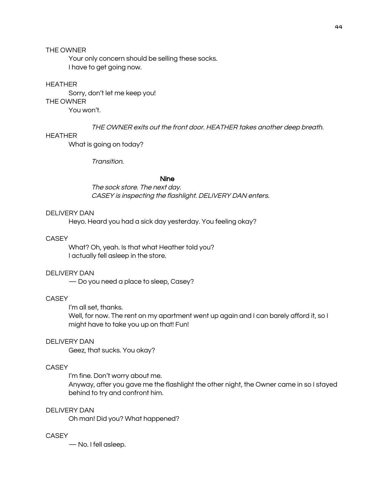### THE OWNER

Your only concern should be selling these socks. I have to get going now.

#### **HEATHER**

Sorry, don't let me keep you! THE OWNER You won't.

THE OWNER exits out the front door. HEATHER takes another deep breath.

### **HEATHER**

What is going on today?

Transition.

### **Nine**

The sock store. The next day. CASEY is inspecting the flashlight. DELIVERY DAN enters.

#### **DELIVERY DAN**

Heyo. Heard you had a sick day yesterday. You feeling okay?

#### **CASEY**

What? Oh, yeah. Is that what Heather told you? I actually fell asleep in the store.

### **DELIVERY DAN**

- Do you need a place to sleep, Casey?

#### **CASEY**

I'm all set, thanks.

Well, for now. The rent on my apartment went up again and I can barely afford it, so I might have to take you up on that! Fun!

### **DELIVERY DAN**

Geez, that sucks. You okay?

### **CASEY**

I'm fine. Don't worry about me. Anyway, after you gave me the flashlight the other night, the Owner came in so I stayed behind to try and confront him.

### **DELIVERY DAN**

Oh man! Did you? What happened?

#### **CASEY**

- No. I fell asleep.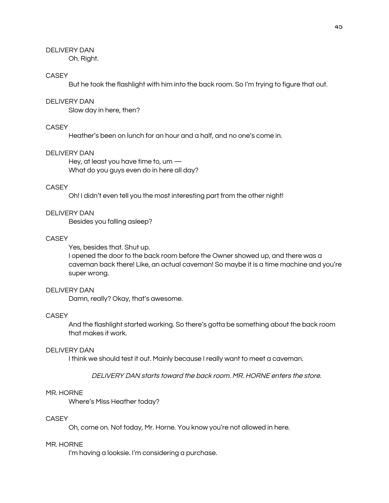Oh. Right.

#### **CASEY**

But he took the flashlight with him into the back room. So I'm trying to figure that out.

### **DELIVERY DAN**

Slow day in here, then?

### CASEY

Heather's been on lunch for an hour and a half, and no one's come in.

#### **DELIVERY DAN**

Hey, at least you have time to, um  $-$ What do you guys even do in here all day?

### **CASEY**

Oh! I didn't even tell you the most interesting part from the other night!

#### **DELIVERY DAN**

Besides you falling asleep?

#### **CASEY**

Yes, besides that. Shut up.

I opened the door to the back room before the Owner showed up, and there was a caveman back there! Like, an actual caveman! So maybe it is a time machine and you're super wrong.

#### **DELIVERY DAN**

Damn, really? Okay, that's awesome.

### **CASEY**

And the flashlight started working. So there's gotta be something about the back room that makes it work.

### **DELIVERY DAN**

I think we should test it out. Mainly because I really want to meet a caveman.

#### DELIVERY DAN starts toward the back room. MR, HORNE enters the store.

#### MR. HORNE

Where's Miss Heather today?

#### **CASEY**

Oh, come on. Not today, Mr. Horne. You know you're not allowed in here.

#### MR. HORNE

I'm having a looksie. I'm considering a purchase.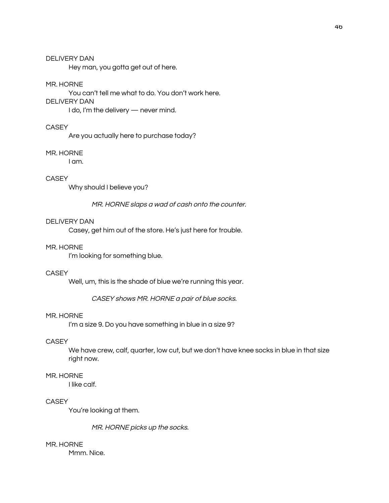Hey man, you gotta get out of here.

#### MR. HORNE

You can't tell me what to do. You don't work here. **DELIVERY DAN** I do, I'm the delivery - never mind.

### **CASEY**

Are you actually here to purchase today?

#### MR. HORNE

I am.

### **CASEY**

Why should I believe you?

MR. HORNE slaps a wad of cash onto the counter.

#### **DELIVERY DAN**

Casey, get him out of the store. He's just here for trouble.

#### MR. HORNE

I'm looking for something blue.

### **CASEY**

Well, um, this is the shade of blue we're running this year.

CASEY shows MR. HORNE a pair of blue socks.

#### MR. HORNE

I'm a size 9. Do you have something in blue in a size 9?

#### **CASEY**

We have crew, calf, quarter, low cut, but we don't have knee socks in blue in that size right now.

#### MR. HORNE

I like calf.

### **CASEY**

You're looking at them.

MR. HORNE picks up the socks.

## MR. HORNE

Mmm. Nice.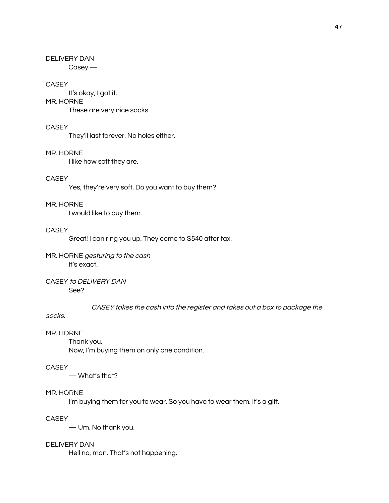$Casey -$ 

### **CASEY**

It's okay, I got it. MR. HORNE These are very nice socks.

### **CASEY**

They'll last forever. No holes either.

### MR. HORNE

I like how soft they are.

### **CASEY**

Yes, they're very soft. Do you want to buy them?

### MR. HORNE

I would like to buy them.

### **CASEY**

Great! I can ring you up. They come to \$540 after tax.

MR. HORNE gesturing to the cash It's exact.

### CASEY to DELIVERY DAN See?

CASEY takes the cash into the register and takes out a box to package the

### socks.

### MR. HORNE

Thank you. Now, I'm buying them on only one condition.

### **CASEY**

- What's that?

### MR. HORNE

I'm buying them for you to wear. So you have to wear them. It's a gift.

### **CASEY**

- Um. No thank you.

### **DELIVERY DAN**

Hell no, man. That's not happening.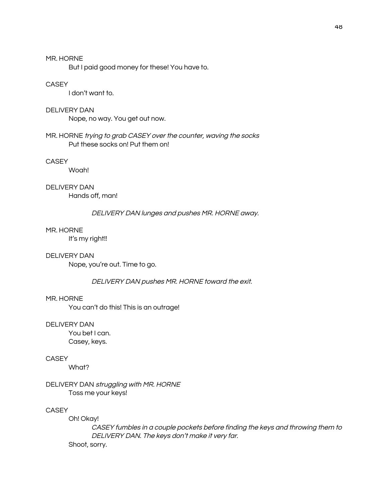#### MR. HORNE

But I paid good money for these! You have to.

### CASEY

I don't want to.

#### **DELIVERY DAN**

Nope, no way. You get out now.

### MR. HORNE trying to grab CASEY over the counter, waving the socks Put these socks on! Put them on!

### **CASEY**

Woah!

## **DELIVERY DAN**

Hands off, man!

### DELIVERY DAN lunges and pushes MR. HORNE away.

### MR. HORNE

It's my right!!

#### **DELIVERY DAN**

Nope, you're out. Time to go.

#### DELIVERY DAN pushes MR. HORNE toward the exit.

#### MR. HORNE

You can't do this! This is an outrage!

#### **DELIVERY DAN**

You bet I can. Casey, keys.

#### **CASEY**

What?

### DELIVERY DAN struggling with MR. HORNE Toss me your keys!

### **CASEY**

Oh! Okay!

CASEY fumbles in a couple pockets before finding the keys and throwing them to DELIVERY DAN. The keys don't make it very far. Shoot, sorry.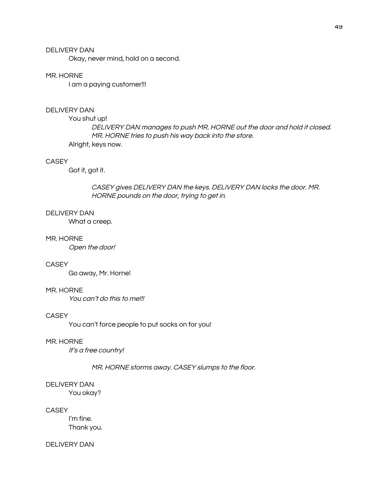Okay, never mind, hold on a second.

#### MR. HORNE

I am a paying customer!!!

#### **DELIVERY DAN**

You shut up! DELIVERY DAN manages to push MR. HORNE out the door and hold it closed. MR. HORNE tries to push his way back into the store. Alright, keys now.

#### **CASEY**

Got it, got it.

CASEY gives DELIVERY DAN the keys. DELIVERY DAN locks the door. MR. HORNE pounds on the door, trying to get in.

#### **DELIVERY DAN**

What a creep.

#### MR. HORNE

Open the door!

#### **CASEY**

Go away, Mr. Horne!

#### MR. HORNE

You can't do this to me!!!

#### **CASEY**

You can't force people to put socks on for you!

#### MR. HORNE

It's a free country!

#### MR. HORNE storms away. CASEY slumps to the floor.

#### **DELIVERY DAN**

You okay?

### CASEY

I'm fine. Thank you.

#### **DELIVERY DAN**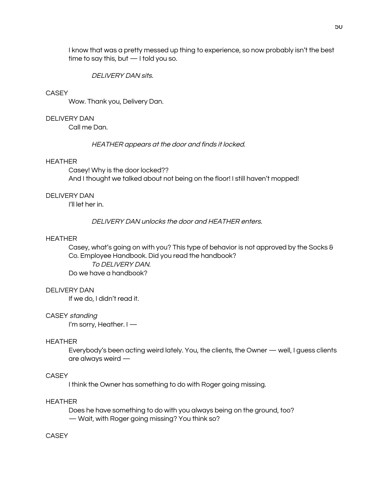I know that was a pretty messed up thing to experience, so now probably isn't the best time to say this, but  $-1$  told you so.

**DELIVERY DAN sits** 

#### **CASEY**

Wow. Thank you, Delivery Dan.

### **DELIVERY DAN**

Call me Dan.

HEATHER appears at the door and finds it locked.

### **HEATHER**

Casey! Why is the door locked?? And I thought we talked about not being on the floor! I still haven't mopped!

### **DELIVERY DAN**

I'll let her in.

DELIVERY DAN unlocks the door and HEATHER enters.

#### **HEATHER**

Casey, what's going on with you? This type of behavior is not approved by the Socks & Co. Employee Handbook. Did you read the handbook? TO DELIVERY DAN. Do we have a handbook?

#### **DELIVERY DAN**

If we do, I didn't read it.

### CASEY standing

I'm sorry, Heather. I -

#### **HEATHER**

Everybody's been acting weird lately. You, the clients, the Owner — well, I guess clients are always weird  $-$ 

#### **CASEY**

I think the Owner has something to do with Roger going missing.

### **HEATHER**

Does he have something to do with you always being on the ground, too? - Wait, with Roger going missing? You think so?

#### **CASEY**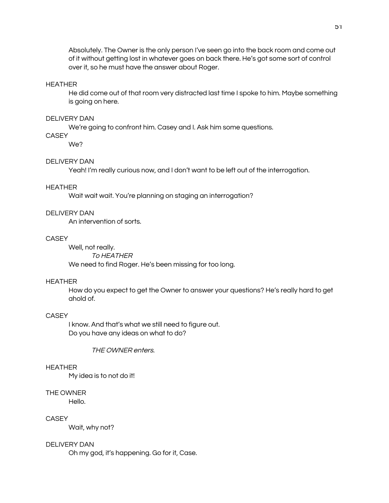Absolutely. The Owner is the only person I've seen go into the back room and come out of it without getting lost in whatever goes on back there. He's got some sort of control over it, so he must have the answer about Roger.

#### **HEATHER**

He did come out of that room very distracted last time I spoke to him. Maybe something is going on here.

### **DELIVERY DAN**

We're going to confront him. Casey and I. Ask him some questions.

### **CASEY**

We?

### **DELIVERY DAN**

Yeah! I'm really curious now, and I don't want to be left out of the interrogation.

#### **HEATHER**

Wait wait wait. You're planning on staging an interrogation?

### **DELIVERY DAN**

An intervention of sorts.

#### **CASEY**

Well, not really.

### **TO HEATHER**

We need to find Roger. He's been missing for too long.

#### **HEATHER**

How do you expect to get the Owner to answer your questions? He's really hard to get ahold of.

### **CASEY**

I know. And that's what we still need to figure out. Do you have any ideas on what to do?

THE OWNER enters.

#### **HEATHER**

My idea is to not do it!

#### THE OWNER

Hello.

### **CASEY**

Wait, why not?

### **DELIVERY DAN**

Oh my god, it's happening. Go for it, Case.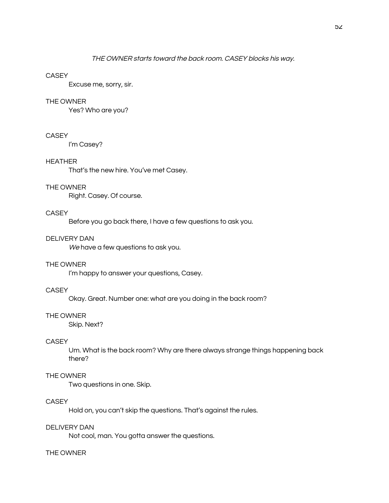Excuse me, sorry, sir.

### THE OWNER

Yes? Who are you?

#### **CASEY**

I'm Casey?

### **HEATHER**

That's the new hire. You've met Casey.

#### THE OWNER

Right. Casey. Of course.

### **CASEY**

Before you go back there, I have a few questions to ask you.

#### **DELIVERY DAN**

We have a few questions to ask you.

### THE OWNER

I'm happy to answer your questions, Casey.

### **CASEY**

Okay. Great. Number one: what are you doing in the back room?

#### THE OWNER

Skip. Next?

#### **CASEY**

Um. What is the back room? Why are there always strange things happening back there?

#### THE OWNER

Two questions in one. Skip.

### **CASEY**

Hold on, you can't skip the questions. That's against the rules.

### **DELIVERY DAN**

Not cool, man. You gotta answer the questions.

#### THE OWNER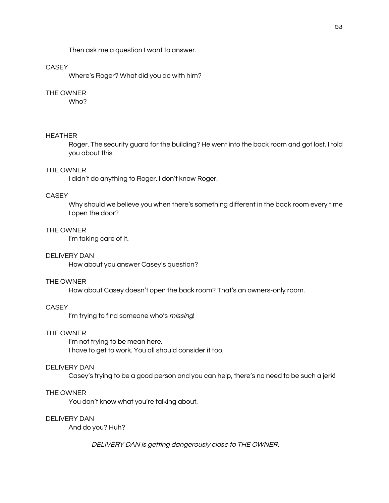Then ask me a question I want to answer.

### **CASEY**

Where's Roger? What did you do with him?

### THE OWNER

Who?

#### **HEATHER**

Roger. The security guard for the building? He went into the back room and got lost. I told you about this.

#### THE OWNER

I didn't do anything to Roger. I don't know Roger.

### **CASEY**

Why should we believe you when there's something different in the back room every time I open the door?

#### THE OWNER

I'm taking care of it.

#### **DELIVERY DAN**

How about you answer Casey's question?

#### THE OWNER

How about Casey doesn't open the back room? That's an owners-only room.

#### **CASEY**

I'm trying to find someone who's missing!

#### THE OWNER

I'm not trying to be mean here. I have to get to work. You all should consider it too.

#### **DELIVERY DAN**

Casey's trying to be a good person and you can help, there's no need to be such a jerk!

#### THE OWNER

You don't know what you're talking about.

#### **DELIVERY DAN**

And do you? Huh?

DELIVERY DAN is getting dangerously close to THE OWNER.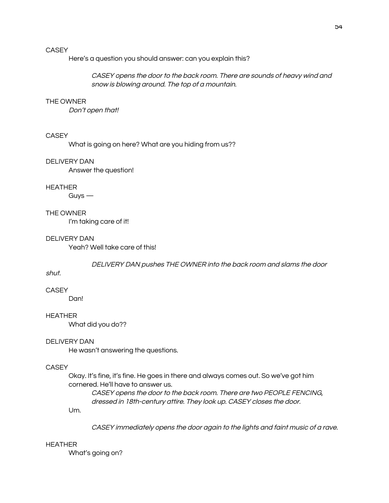Here's a question you should answer: can you explain this?

CASEY opens the door to the back room. There are sounds of heavy wind and snow is blowing around. The top of a mountain.

#### THE OWNER

Don't open that!

#### **CASEY**

What is going on here? What are you hiding from us??

#### **DELIVERY DAN**

Answer the question!

#### **HEATHER**

Guys  $-$ 

### THE OWNER

I'm taking care of it!

#### **DELIVERY DAN**

Yeah? Well take care of this!

DELIVERY DAN pushes THE OWNER into the back room and slams the door

### shut.

**CASEY** 

Dan!

### **HEATHER**

What did you do??

#### **DELIVERY DAN**

He wasn't answering the questions.

### **CASEY**

Okay. It's fine, it's fine. He goes in there and always comes out. So we've got him cornered. He'll have to answer us.

CASEY opens the door to the back room. There are two PEOPLE FENCING, dressed in 18th-century attire. They look up. CASEY closes the door.

Um.

CASEY immediately opens the door again to the lights and faint music of a rave.

#### **HEATHER**

What's going on?